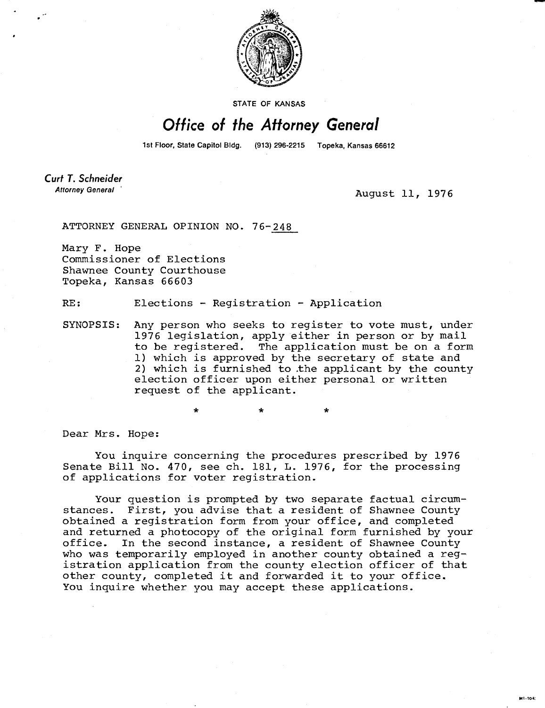

STATE OF KANSAS

## Office of the Attorney General

1st Floor, State Capitol Bldg. (913) 296-2215 Topeka, Kansas 66612

Curt T. Schneider **Attorney General** 

August 11, 1976

M1-104:

ATTORNEY GENERAL OPINION NO. 76-248

Mary F. Hope Commissioner of Elections Shawnee County Courthouse Topeka, Kansas 66603

RE: Elections - Registration - Application

\*

SYNOPSIS: Any person who seeks to register to vote must, under 1976 legislation, apply either in person or by mail to be registered. The application must be on a form 1) which is approved by the secretary of state and 2) which is furnished to .the applicant by the county election officer upon either personal or written request of the applicant.

Dear Mrs. Hope:

You inquire concerning the procedures prescribed by 1976 Senate Bill No. 470, see ch. 181, L. 1976, for the processing of applications for voter registration.

Your question is prompted by two separate factual circumstances. First, you advise that a resident of Shawnee County obtained a registration form from your office, and completed and returned a photocopy of the original form furnished by your office. In the second instance, a resident of Shawnee County who was temporarily employed in another county obtained a registration application from the county election officer of that other county, completed it and forwarded it to your office. You inquire whether you may accept these applications.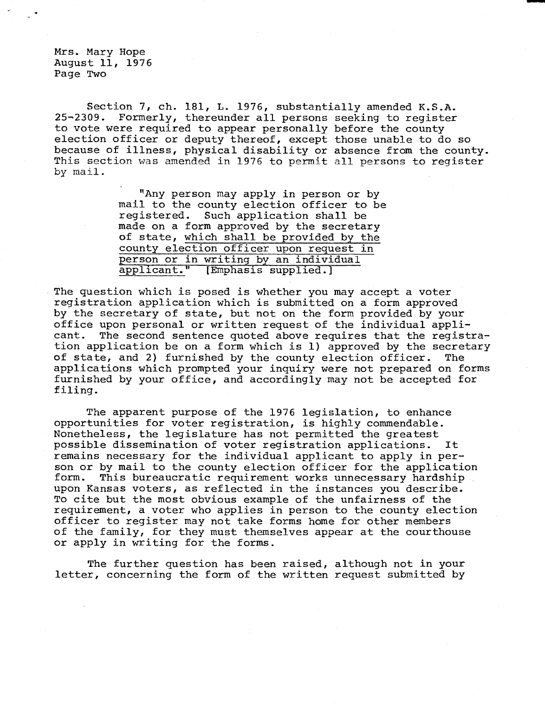Mrs. Mary Hope August 11, 1976 Page Two

Section 7, ch. 181, L. 1976, substantially amended K.S.A. 25-2309. Formerly, thereunder all persons seeking to register to vote were required to appear personally before the county election officer or deputy thereof, except those unable to do so because of illness, physical disability or absence from the county. This section was amended in 1976 to permit all persons to register by mail.

> "Any person may apply in person or by mail to the county election officer to be registered. Such application shall be made on a form approved by the secretary of state, which shall be provided by the county election officer upon request in person or in writing by an individual<br>applicant." [Emphasis supplied.] [Emphasis supplied.]

The question which is posed is whether you may accept a voter registration application which is submitted on a form approved by the secretary of state, but not on the form provided by your office upon personal or written request of the individual applicant. The second sentence quoted above requires that the registration application be on a form which is 1) approved by the secretary of state, and 2) furnished by the county election officer. The applications which prompted your inquiry were not prepared on forms furnished by your office, and accordingly may not be accepted for filing.

The apparent purpose of the 1976 legislation, to enhance opportunities for voter registration, is highly commendable. Nonetheless, the legislature has not permitted the greatest possible dissemination of voter registration applications. It remains necessary for the individual applicant to apply in person or by mail to the county election officer for the application form. This bureaucratic requirement works unnecessary hardship upon Kansas voters, as reflected in the instances you describe. To cite but the most obvious example of the unfairness of the requirement, a voter who applies in person to the county election officer to register may not take forms home for other members of the family, for they must themselves appear at the courthouse or apply in writing for the forms.

The further question has been raised, although not in your letter, concerning the form of the written request submitted by